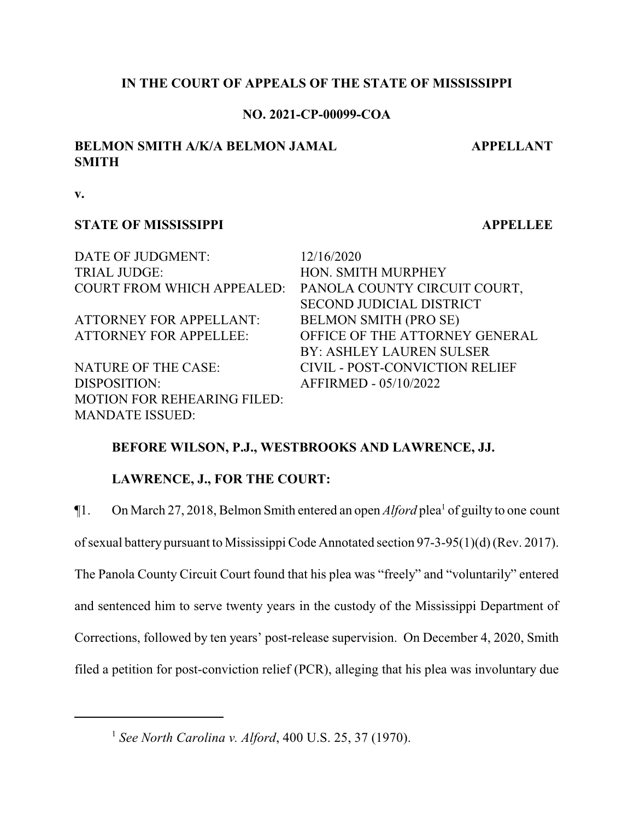### **IN THE COURT OF APPEALS OF THE STATE OF MISSISSIPPI**

### **NO. 2021-CP-00099-COA**

# **BELMON SMITH A/K/A BELMON JAMAL SMITH**

**APPELLANT**

**v.**

#### **STATE OF MISSISSIPPI APPELLEE**

DATE OF JUDGMENT: 12/16/2020 TRIAL JUDGE: HON. SMITH MURPHEY

ATTORNEY FOR APPELLANT: BELMON SMITH (PRO SE)

DISPOSITION: AFFIRMED - 05/10/2022 MOTION FOR REHEARING FILED: MANDATE ISSUED:

COURT FROM WHICH APPEALED: PANOLA COUNTY CIRCUIT COURT, SECOND JUDICIAL DISTRICT ATTORNEY FOR APPELLEE: OFFICE OF THE ATTORNEY GENERAL BY: ASHLEY LAUREN SULSER NATURE OF THE CASE: CIVIL - POST-CONVICTION RELIEF

# **BEFORE WILSON, P.J., WESTBROOKS AND LAWRENCE, JJ.**

# **LAWRENCE, J., FOR THE COURT:**

¶1. On March 27, 2018, Belmon Smith entered an open *Alford* plea<sup>1</sup> of guilty to one count

ofsexual battery pursuant to Mississippi Code Annotated section 97-3-95(1)(d) (Rev. 2017).

The Panola County Circuit Court found that his plea was "freely" and "voluntarily" entered

and sentenced him to serve twenty years in the custody of the Mississippi Department of

Corrections, followed by ten years' post-release supervision. On December 4, 2020, Smith

filed a petition for post-conviction relief (PCR), alleging that his plea was involuntary due

<sup>1</sup> *See North Carolina v. Alford*, 400 U.S. 25, 37 (1970).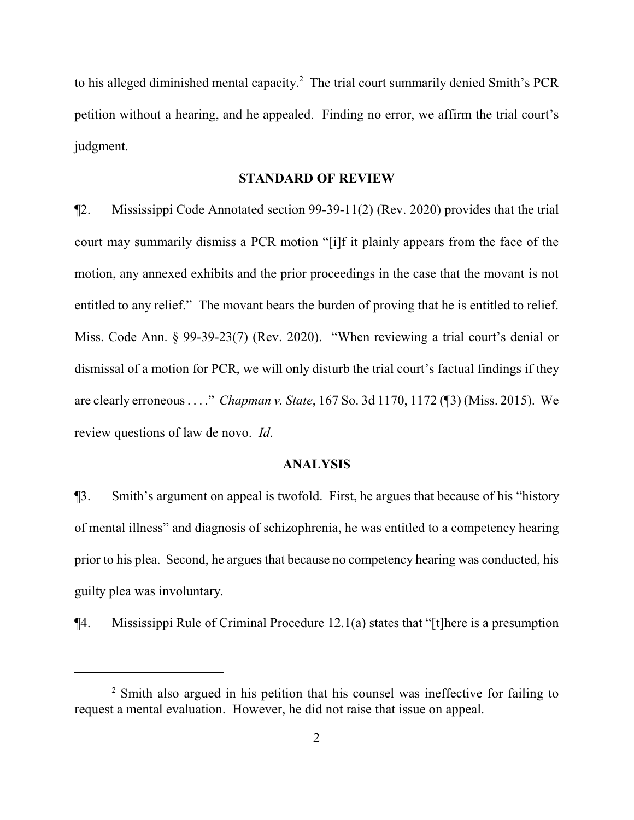to his alleged diminished mental capacity. <sup>2</sup> The trial court summarily denied Smith's PCR petition without a hearing, and he appealed. Finding no error, we affirm the trial court's judgment.

#### **STANDARD OF REVIEW**

¶2. Mississippi Code Annotated section 99-39-11(2) (Rev. 2020) provides that the trial court may summarily dismiss a PCR motion "[i]f it plainly appears from the face of the motion, any annexed exhibits and the prior proceedings in the case that the movant is not entitled to any relief." The movant bears the burden of proving that he is entitled to relief. Miss. Code Ann. § 99-39-23(7) (Rev. 2020). "When reviewing a trial court's denial or dismissal of a motion for PCR, we will only disturb the trial court's factual findings if they are clearly erroneous . . . ." *Chapman v. State*, 167 So. 3d 1170, 1172 (¶3) (Miss. 2015). We review questions of law de novo. *Id*.

#### **ANALYSIS**

¶3. Smith's argument on appeal is twofold. First, he argues that because of his "history of mental illness" and diagnosis of schizophrenia, he was entitled to a competency hearing prior to his plea. Second, he argues that because no competency hearing was conducted, his guilty plea was involuntary.

¶4. Mississippi Rule of Criminal Procedure 12.1(a) states that "[t]here is a presumption

<sup>&</sup>lt;sup>2</sup> Smith also argued in his petition that his counsel was ineffective for failing to request a mental evaluation. However, he did not raise that issue on appeal.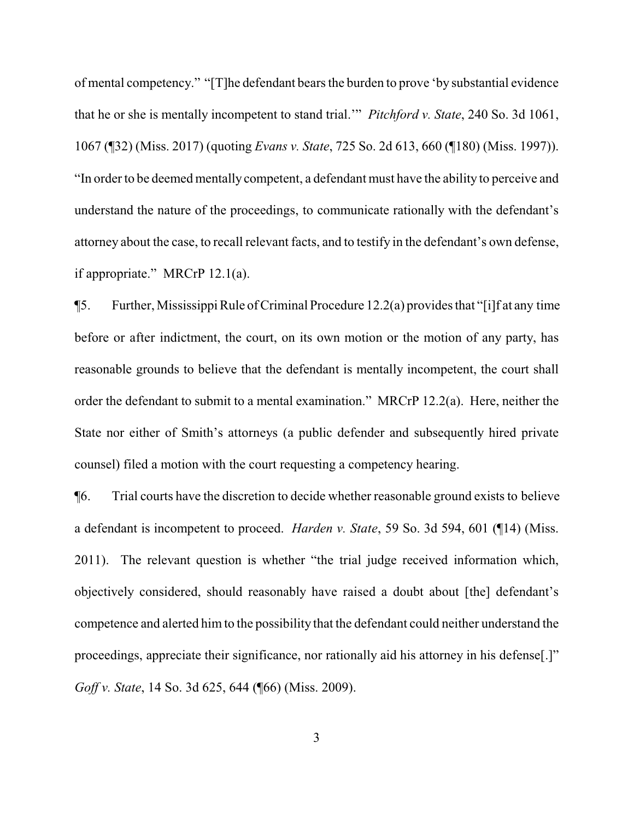of mental competency." "[T]he defendant bears the burden to prove 'by substantial evidence that he or she is mentally incompetent to stand trial.'" *Pitchford v. State*, 240 So. 3d 1061, 1067 (¶32) (Miss. 2017) (quoting *Evans v. State*, 725 So. 2d 613, 660 (¶180) (Miss. 1997)). "In order to be deemed mentally competent, a defendant must have the ability to perceive and understand the nature of the proceedings, to communicate rationally with the defendant's attorney about the case, to recall relevant facts, and to testify in the defendant's own defense, if appropriate." MRCrP 12.1(a).

 $\P$ 5. Further, Mississippi Rule of Criminal Procedure 12.2(a) provides that "[i] f at any time before or after indictment, the court, on its own motion or the motion of any party, has reasonable grounds to believe that the defendant is mentally incompetent, the court shall order the defendant to submit to a mental examination." MRCrP 12.2(a). Here, neither the State nor either of Smith's attorneys (a public defender and subsequently hired private counsel) filed a motion with the court requesting a competency hearing.

¶6. Trial courts have the discretion to decide whether reasonable ground exists to believe a defendant is incompetent to proceed. *Harden v. State*, 59 So. 3d 594, 601 (¶14) (Miss. 2011). The relevant question is whether "the trial judge received information which, objectively considered, should reasonably have raised a doubt about [the] defendant's competence and alerted him to the possibility that the defendant could neither understand the proceedings, appreciate their significance, nor rationally aid his attorney in his defense[.]" *Goff v. State*, 14 So. 3d 625, 644 (¶66) (Miss. 2009).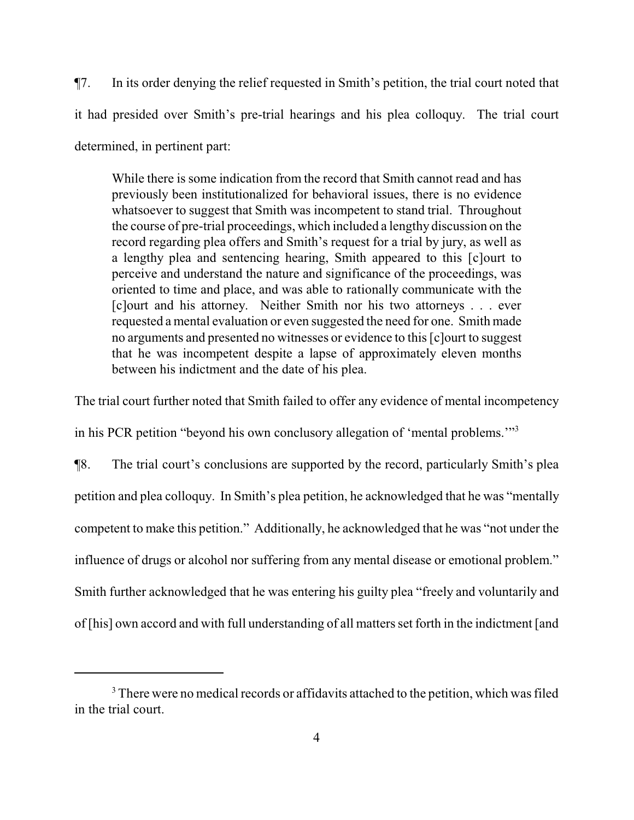¶7. In its order denying the relief requested in Smith's petition, the trial court noted that it had presided over Smith's pre-trial hearings and his plea colloquy. The trial court determined, in pertinent part:

While there is some indication from the record that Smith cannot read and has previously been institutionalized for behavioral issues, there is no evidence whatsoever to suggest that Smith was incompetent to stand trial. Throughout the course of pre-trial proceedings, which included a lengthy discussion on the record regarding plea offers and Smith's request for a trial by jury, as well as a lengthy plea and sentencing hearing, Smith appeared to this [c]ourt to perceive and understand the nature and significance of the proceedings, was oriented to time and place, and was able to rationally communicate with the [c]ourt and his attorney. Neither Smith nor his two attorneys . . . ever requested a mental evaluation or even suggested the need for one. Smith made no arguments and presented no witnesses or evidence to this [c]ourt to suggest that he was incompetent despite a lapse of approximately eleven months between his indictment and the date of his plea.

The trial court further noted that Smith failed to offer any evidence of mental incompetency

in his PCR petition "beyond his own conclusory allegation of 'mental problems.'"<sup>3</sup>

¶8. The trial court's conclusions are supported by the record, particularly Smith's plea petition and plea colloquy. In Smith's plea petition, he acknowledged that he was "mentally competent to make this petition." Additionally, he acknowledged that he was "not under the influence of drugs or alcohol nor suffering from any mental disease or emotional problem." Smith further acknowledged that he was entering his guilty plea "freely and voluntarily and of [his] own accord and with full understanding of all matters set forth in the indictment [and

<sup>&</sup>lt;sup>3</sup> There were no medical records or affidavits attached to the petition, which was filed in the trial court.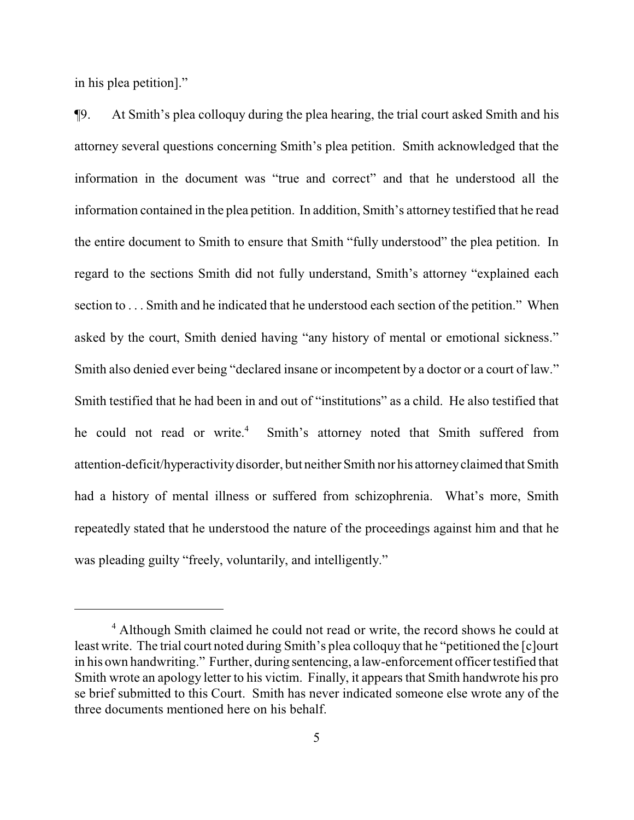in his plea petition]."

¶9. At Smith's plea colloquy during the plea hearing, the trial court asked Smith and his attorney several questions concerning Smith's plea petition. Smith acknowledged that the information in the document was "true and correct" and that he understood all the information contained in the plea petition. In addition, Smith's attorney testified that he read the entire document to Smith to ensure that Smith "fully understood" the plea petition. In regard to the sections Smith did not fully understand, Smith's attorney "explained each section to . . . Smith and he indicated that he understood each section of the petition." When asked by the court, Smith denied having "any history of mental or emotional sickness." Smith also denied ever being "declared insane or incompetent by a doctor or a court of law." Smith testified that he had been in and out of "institutions" as a child. He also testified that he could not read or write.<sup>4</sup> Smith's attorney noted that Smith suffered from attention-deficit/hyperactivitydisorder, but neither Smith nor his attorneyclaimed that Smith had a history of mental illness or suffered from schizophrenia. What's more, Smith repeatedly stated that he understood the nature of the proceedings against him and that he was pleading guilty "freely, voluntarily, and intelligently."

<sup>&</sup>lt;sup>4</sup> Although Smith claimed he could not read or write, the record shows he could at least write. The trial court noted during Smith's plea colloquy that he "petitioned the [c]ourt in his own handwriting." Further, during sentencing, a law-enforcement officer testified that Smith wrote an apology letter to his victim. Finally, it appears that Smith handwrote his pro se brief submitted to this Court. Smith has never indicated someone else wrote any of the three documents mentioned here on his behalf.